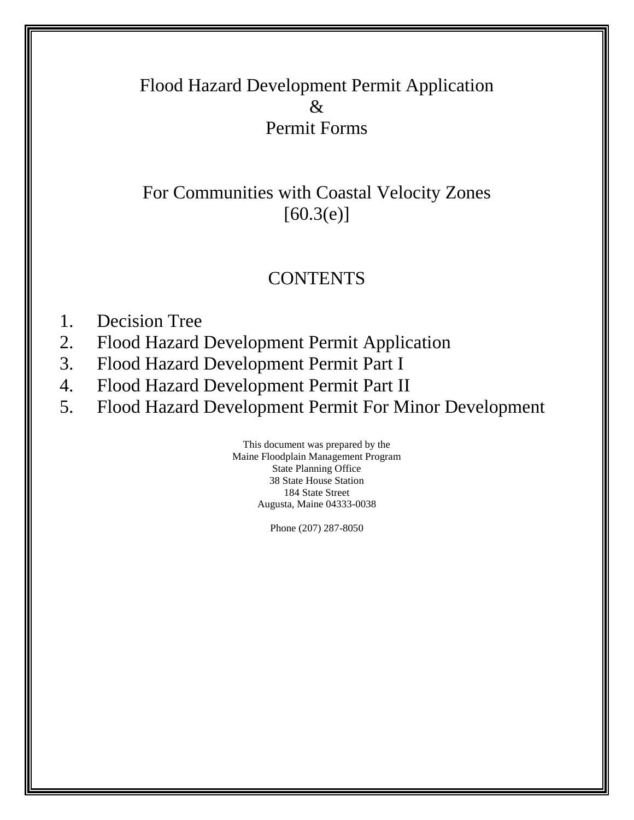## Flood Hazard Development Permit Application  $\&$ Permit Forms

## For Communities with Coastal Velocity Zones  $[60.3(e)]$

## **CONTENTS**

- 1. Decision Tree
- 2. Flood Hazard Development Permit Application
- 3. Flood Hazard Development Permit Part I
- 4. Flood Hazard Development Permit Part II
- 5. Flood Hazard Development Permit For Minor Development

This document was prepared by the Maine Floodplain Management Program State Planning Office 38 State House Station 184 State Street Augusta, Maine 04333-0038

Phone (207) 287-8050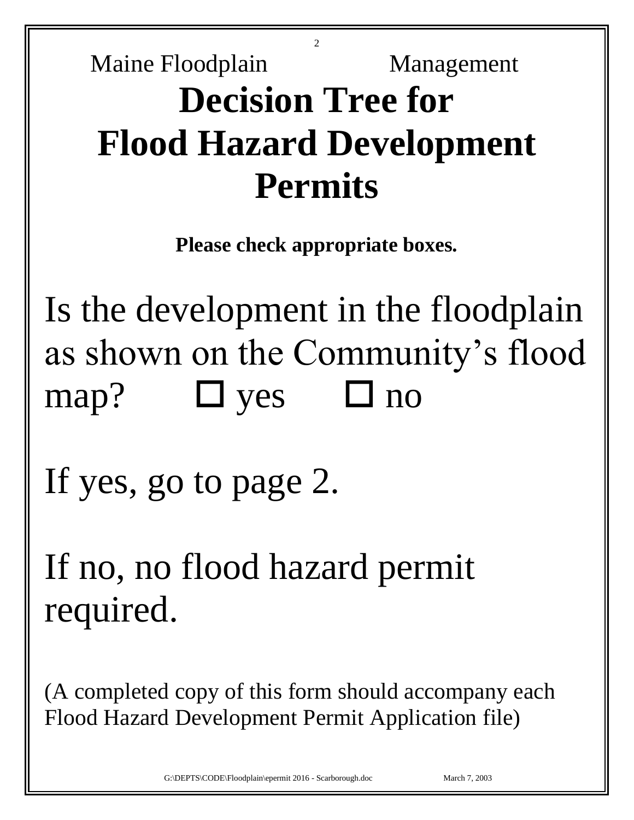# 2 Maine Floodplain Management **Decision Tree for Flood Hazard Development Permits**

**Please check appropriate boxes.**

Is the development in the floodplain as shown on the Community's flood map?  $\Box$  yes  $\Box$  no

If yes, go to page 2.

If no, no flood hazard permit required.

(A completed copy of this form should accompany each Flood Hazard Development Permit Application file)

G:\DEPTS\CODE\Floodplain\epermit 2016 - Scarborough.doc March 7, 2003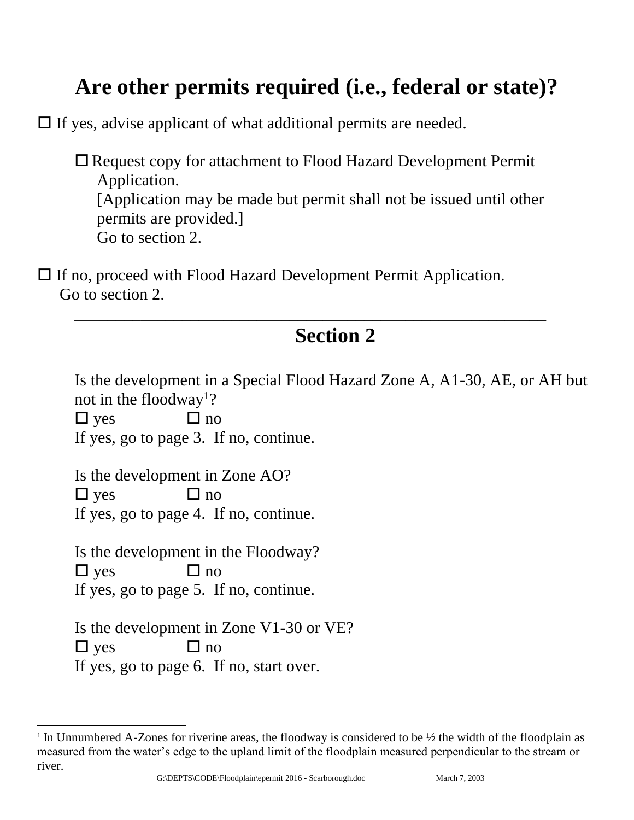## **Are other permits required (i.e., federal or state)?**

 $\Box$  If yes, advise applicant of what additional permits are needed.

 Request copy for attachment to Flood Hazard Development Permit Application. [Application may be made but permit shall not be issued until other permits are provided.] Go to section 2.

\_\_\_\_\_\_\_\_\_\_\_\_\_\_\_\_\_\_\_\_\_\_\_\_\_\_\_\_\_\_\_\_\_\_\_\_\_\_\_\_\_\_\_\_\_\_\_\_\_\_\_\_\_\_\_\_\_

 If no, proceed with Flood Hazard Development Permit Application. Go to section 2.

## **Section 2**

| Is the development in a Special Flood Hazard Zone A, A1-30, AE, or AH but<br>not in the floodway <sup>1</sup> ? |
|-----------------------------------------------------------------------------------------------------------------|
| $\Box$ yes<br>$\Box$ no                                                                                         |
| If yes, go to page 3. If no, continue.                                                                          |
| Is the development in Zone AO?                                                                                  |
| $\Box$ yes<br>$\Box$ no                                                                                         |
| If yes, go to page 4. If no, continue.                                                                          |
| Is the development in the Floodway?                                                                             |
| $\Box$ yes<br>$\Box$ no                                                                                         |
| If yes, go to page 5. If no, continue.                                                                          |
| Is the development in Zone V1-30 or VE?                                                                         |
| $\Box$ yes<br>$\Box$ no                                                                                         |
| If yes, go to page 6. If no, start over.                                                                        |

l <sup>1</sup> In Unnumbered A-Zones for riverine areas, the floodway is considered to be  $\frac{1}{2}$  the width of the floodplain as measured from the water's edge to the upland limit of the floodplain measured perpendicular to the stream or river.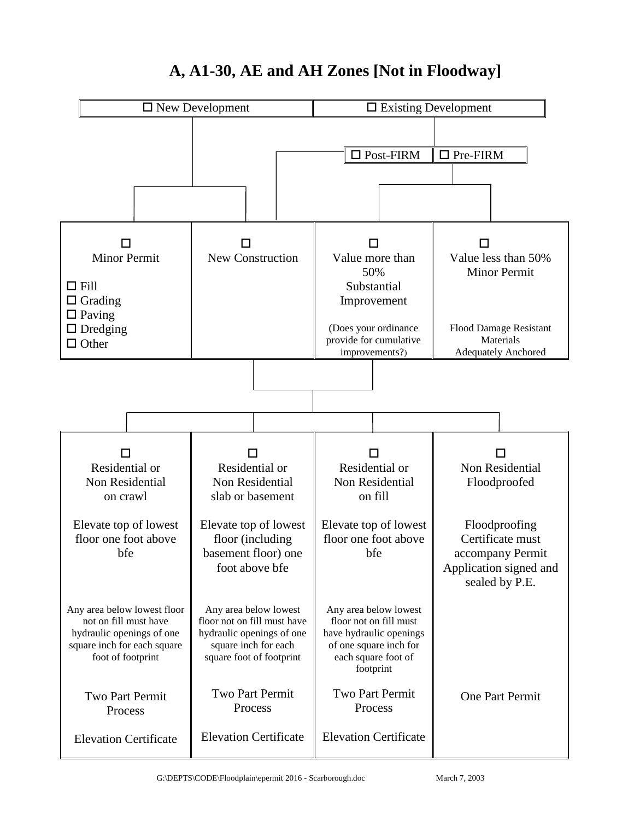

## **A, A1-30, AE and AH Zones [Not in Floodway]**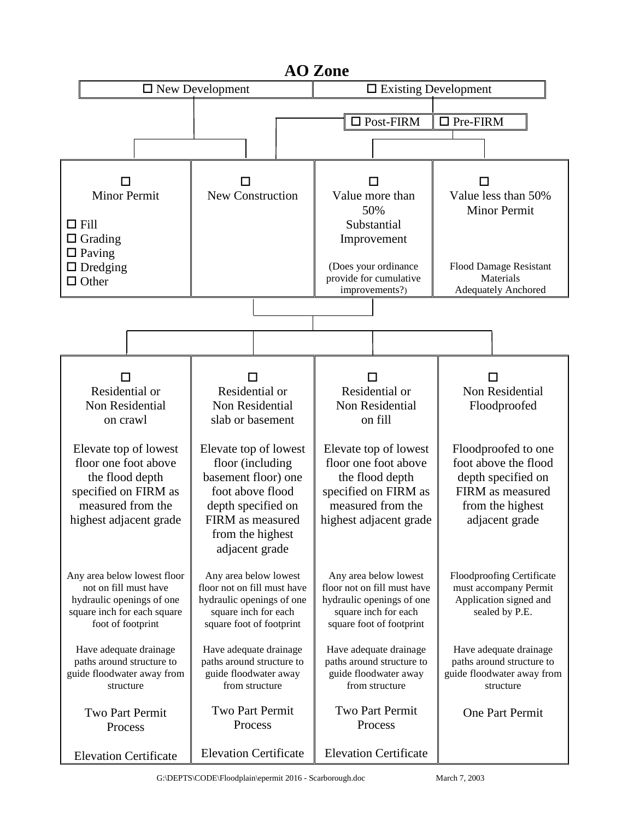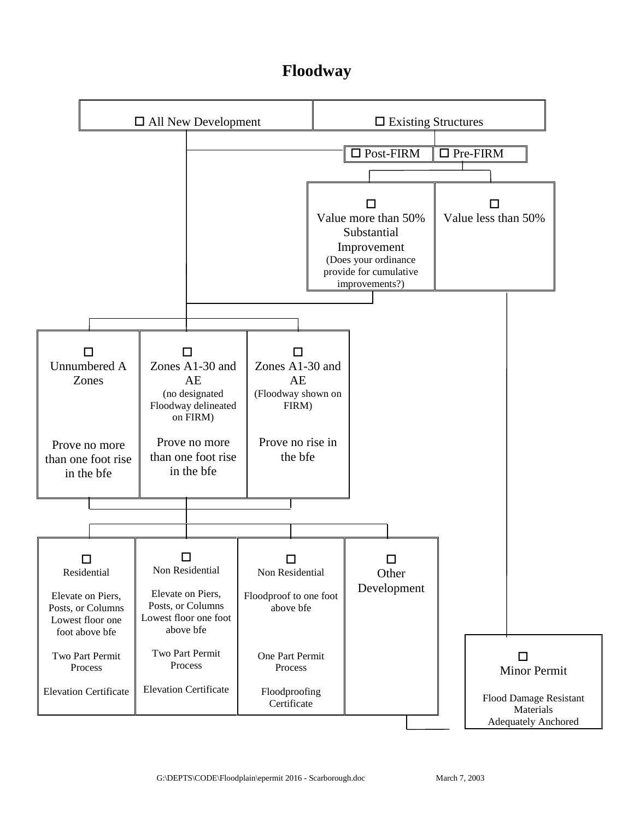### **Floodway**

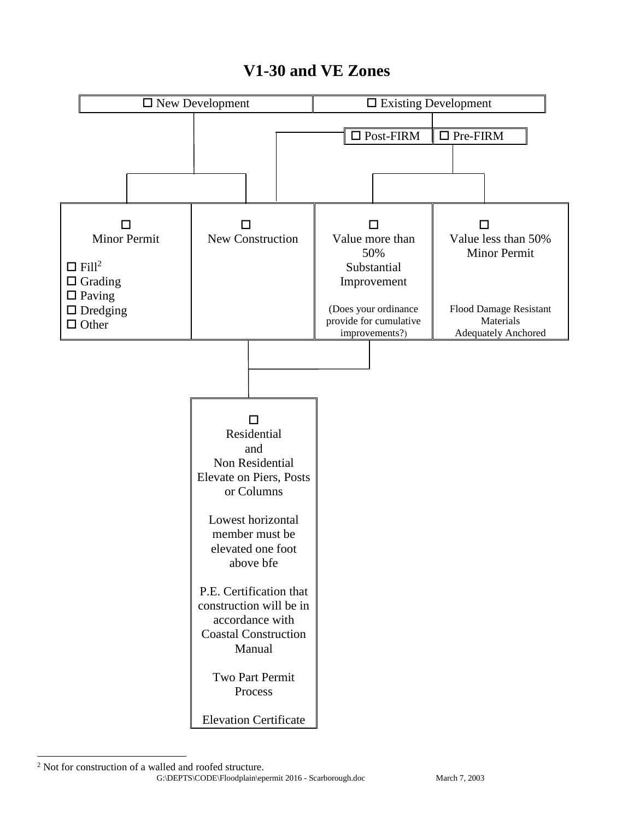### **V1-30 and VE Zones**



 $\overline{a}$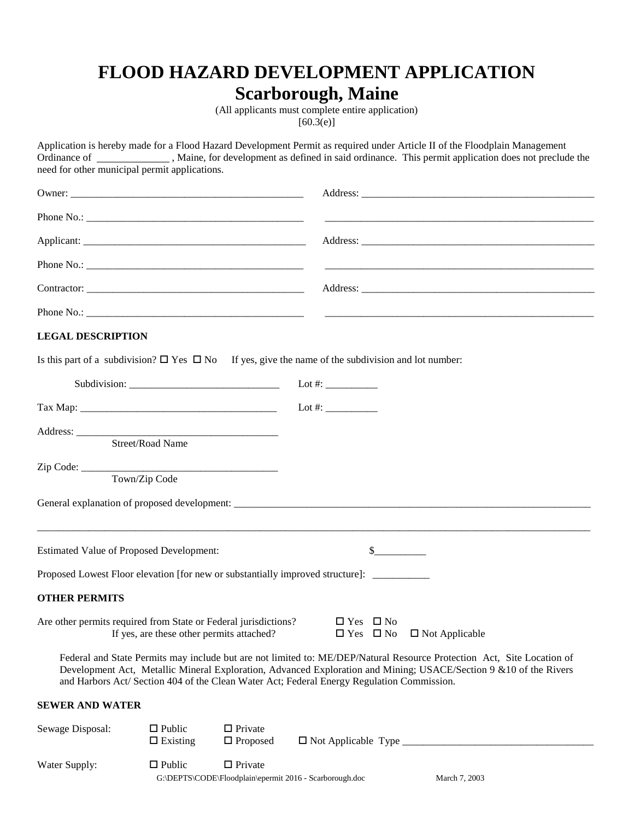## **FLOOD HAZARD DEVELOPMENT APPLICATION**

## **Scarborough, Maine**

(All applicants must complete entire application)  $[60.3(e)]$ 

| need for other municipal permit applications.                   |                                           |                                                                           | Application is hereby made for a Flood Hazard Development Permit as required under Article II of the Floodplain Management<br>Ordinance of ______________, Maine, for development as defined in said ordinance. This permit application does not preclude the                                                                                                                |
|-----------------------------------------------------------------|-------------------------------------------|---------------------------------------------------------------------------|------------------------------------------------------------------------------------------------------------------------------------------------------------------------------------------------------------------------------------------------------------------------------------------------------------------------------------------------------------------------------|
|                                                                 |                                           |                                                                           |                                                                                                                                                                                                                                                                                                                                                                              |
|                                                                 |                                           |                                                                           |                                                                                                                                                                                                                                                                                                                                                                              |
|                                                                 |                                           |                                                                           |                                                                                                                                                                                                                                                                                                                                                                              |
|                                                                 |                                           |                                                                           |                                                                                                                                                                                                                                                                                                                                                                              |
|                                                                 |                                           |                                                                           |                                                                                                                                                                                                                                                                                                                                                                              |
|                                                                 |                                           |                                                                           |                                                                                                                                                                                                                                                                                                                                                                              |
| <b>LEGAL DESCRIPTION</b>                                        |                                           |                                                                           |                                                                                                                                                                                                                                                                                                                                                                              |
|                                                                 |                                           |                                                                           | Is this part of a subdivision? $\square$ Yes $\square$ No If yes, give the name of the subdivision and lot number:                                                                                                                                                                                                                                                           |
|                                                                 |                                           |                                                                           | Subdivision: Lot #:                                                                                                                                                                                                                                                                                                                                                          |
|                                                                 |                                           |                                                                           |                                                                                                                                                                                                                                                                                                                                                                              |
|                                                                 | Street/Road Name                          |                                                                           |                                                                                                                                                                                                                                                                                                                                                                              |
|                                                                 |                                           |                                                                           |                                                                                                                                                                                                                                                                                                                                                                              |
|                                                                 | Town/Zip Code                             |                                                                           |                                                                                                                                                                                                                                                                                                                                                                              |
|                                                                 |                                           |                                                                           |                                                                                                                                                                                                                                                                                                                                                                              |
|                                                                 |                                           |                                                                           |                                                                                                                                                                                                                                                                                                                                                                              |
| <b>Estimated Value of Proposed Development:</b>                 |                                           |                                                                           | $\frac{\S_{\frac{1}{2}}}{\S_{\frac{1}{2}}}{\S_{\frac{1}{2}}}{\S_{\frac{1}{2}}}{\S_{\frac{1}{2}}}{\S_{\frac{1}{2}}}{\S_{\frac{1}{2}}}{\S_{\frac{1}{2}}}{\S_{\frac{1}{2}}}{\S_{\frac{1}{2}}}{\S_{\frac{1}{2}}}{\S_{\frac{1}{2}}}{\S_{\frac{1}{2}}}{\S_{\frac{1}{2}}}{\S_{\frac{1}{2}}}{\S_{\frac{1}{2}}}{\S_{\frac{1}{2}}}{\S_{\frac{1}{2}}}{\S_{\frac{1}{2}}}{\S_{\frac{1}{2$ |
|                                                                 |                                           |                                                                           | Proposed Lowest Floor elevation [for new or substantially improved structure]: _________                                                                                                                                                                                                                                                                                     |
| <b>OTHER PERMITS</b>                                            |                                           |                                                                           |                                                                                                                                                                                                                                                                                                                                                                              |
| Are other permits required from State or Federal jurisdictions? | If yes, are these other permits attached? |                                                                           | $\Box$ Yes $\Box$ No<br>$\Box$ Not Applicable<br>$\Box$ Yes $\Box$ No                                                                                                                                                                                                                                                                                                        |
|                                                                 |                                           |                                                                           | Federal and State Permits may include but are not limited to: ME/DEP/Natural Resource Protection Act, Site Location of<br>Development Act, Metallic Mineral Exploration, Advanced Exploration and Mining; USACE/Section 9 & 10 of the Rivers<br>and Harbors Act/ Section 404 of the Clean Water Act; Federal Energy Regulation Commission.                                   |
| <b>SEWER AND WATER</b>                                          |                                           |                                                                           |                                                                                                                                                                                                                                                                                                                                                                              |
| Sewage Disposal:                                                | $\Box$ Public<br>$\Box$ Existing          | $\Box$ Private<br>$\Box$ Proposed                                         | □ Not Applicable Type ____________                                                                                                                                                                                                                                                                                                                                           |
| Water Supply:                                                   | $\Box$ Public                             | $\Box$ Private<br>G:\DEPTS\CODE\Floodplain\epermit 2016 - Scarborough.doc | March 7, 2003                                                                                                                                                                                                                                                                                                                                                                |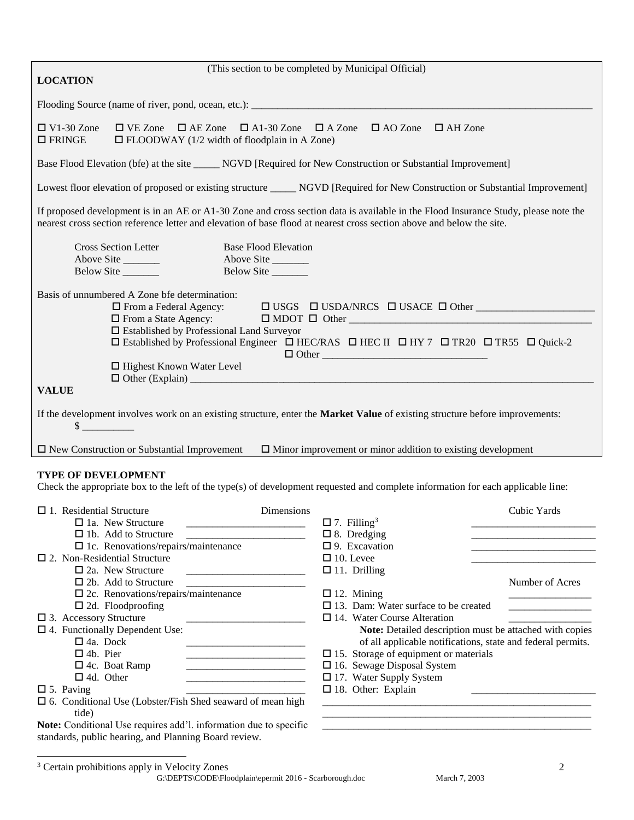|                                                                                                                                                                                                                                                                                                                                                                    | (This section to be completed by Municipal Official)                                                                                                                                                                                                                                                                                                                                                                                                                                                                        |  |
|--------------------------------------------------------------------------------------------------------------------------------------------------------------------------------------------------------------------------------------------------------------------------------------------------------------------------------------------------------------------|-----------------------------------------------------------------------------------------------------------------------------------------------------------------------------------------------------------------------------------------------------------------------------------------------------------------------------------------------------------------------------------------------------------------------------------------------------------------------------------------------------------------------------|--|
| <b>LOCATION</b>                                                                                                                                                                                                                                                                                                                                                    |                                                                                                                                                                                                                                                                                                                                                                                                                                                                                                                             |  |
|                                                                                                                                                                                                                                                                                                                                                                    |                                                                                                                                                                                                                                                                                                                                                                                                                                                                                                                             |  |
| $\Box$ V1-30 Zone<br>$\Box$ VE Zone $\Box$ AE Zone $\Box$ A1-30 Zone $\Box$ A Zone<br>$\Box$ AO Zone<br>$\Box$ AH Zone<br>$\Box$ FRINGE<br>$\Box$ FLOODWAY (1/2 width of floodplain in A Zone)                                                                                                                                                                     |                                                                                                                                                                                                                                                                                                                                                                                                                                                                                                                             |  |
| Base Flood Elevation (bfe) at the site ______ NGVD [Required for New Construction or Substantial Improvement]                                                                                                                                                                                                                                                      |                                                                                                                                                                                                                                                                                                                                                                                                                                                                                                                             |  |
| Lowest floor elevation of proposed or existing structure ______ NGVD [Required for New Construction or Substantial Improvement]                                                                                                                                                                                                                                    |                                                                                                                                                                                                                                                                                                                                                                                                                                                                                                                             |  |
| If proposed development is in an AE or A1-30 Zone and cross section data is available in the Flood Insurance Study, please note the<br>nearest cross section reference letter and elevation of base flood at nearest cross section above and below the site.                                                                                                       |                                                                                                                                                                                                                                                                                                                                                                                                                                                                                                                             |  |
| <b>Cross Section Letter</b><br><b>Base Flood Elevation</b><br>Above Site<br>Above Site<br>Below Site<br>Below Site ________                                                                                                                                                                                                                                        |                                                                                                                                                                                                                                                                                                                                                                                                                                                                                                                             |  |
| Basis of unnumbered A Zone bfe determination:<br>□ From a Federal Agency:<br>□ Established by Professional Land Surveyor<br>□ Highest Known Water Level<br><b>VALUE</b>                                                                                                                                                                                            | □ Established by Professional Engineer □ HEC/RAS □ HEC II □ HY 7 □ TR20 □ TR55 □ Quick-2<br>$\Box$ Other                                                                                                                                                                                                                                                                                                                                                                                                                    |  |
|                                                                                                                                                                                                                                                                                                                                                                    |                                                                                                                                                                                                                                                                                                                                                                                                                                                                                                                             |  |
| If the development involves work on an existing structure, enter the Market Value of existing structure before improvements:<br>$\mathbb{S}$                                                                                                                                                                                                                       |                                                                                                                                                                                                                                                                                                                                                                                                                                                                                                                             |  |
|                                                                                                                                                                                                                                                                                                                                                                    |                                                                                                                                                                                                                                                                                                                                                                                                                                                                                                                             |  |
| $\Box$ New Construction or Substantial Improvement                                                                                                                                                                                                                                                                                                                 | $\Box$ Minor improvement or minor addition to existing development                                                                                                                                                                                                                                                                                                                                                                                                                                                          |  |
| <b>TYPE OF DEVELOPMENT</b><br>Check the appropriate box to the left of the type(s) of development requested and complete information for each applicable line:                                                                                                                                                                                                     |                                                                                                                                                                                                                                                                                                                                                                                                                                                                                                                             |  |
| Dimensions<br>$\Box$ 1. Residential Structure                                                                                                                                                                                                                                                                                                                      | Cubic Yards                                                                                                                                                                                                                                                                                                                                                                                                                                                                                                                 |  |
| $\Box$ 1a. New Structure<br>$\Box$ 1b. Add to Structure<br>$\square$ 1c. Renovations/repairs/maintenance<br>$\square$ 2. Non-Residential Structure<br>$\square$ 2a. New Structure<br>$\Box$ 2b. Add to Structure<br><u> 1989 - Johann Barbara, martin da kasar Amerikaan kasar da</u><br>$\square$ 2c. Renovations/repairs/maintenance<br>$\Box$ 2d. Floodproofing | $\Box$ 7. Filling <sup>3</sup><br>$\square$ 8. Dredging<br><u> 1989 - Johann Barbara, martxa al III-lea (h. 1989).</u><br>$\square$ 9. Excavation<br>$\Box$ 10. Levee<br>$\Box$ 11. Drilling<br>Number of Acres<br>$\Box$ 12. Mining<br>$\Box$ 13. Dam: Water surface to be created<br><b>Contract Contract Contract Contract Contract Contract Contract Contract Contract Contract Contract Contract Contract Contract Contract Contract Contract Contract Contract Contract Contract Contract Contract Contract Contr</b> |  |
| $\square$ 3. Accessory Structure<br>$\square$ 4. Functionally Dependent Use:<br>$\Box$ 4a. Dock<br>$\Box$ 4b. Pier<br>$\Box$ 4c. Boat Ramp<br>$\Box$ 4d. Other<br>$\square$ 5. Paving<br>$\Box$ 6. Conditional Use (Lobster/Fish Shed seaward of mean high                                                                                                         | $\Box$ 14. Water Course Alteration<br>Note: Detailed description must be attached with copies<br>of all applicable notifications, state and federal permits.<br>$\square$ 15. Storage of equipment or materials<br>$\square$ 16. Sewage Disposal System<br>$\Box$ 17. Water Supply System<br>$\Box$ 18. Other: Explain<br><u> 1990 - Johann Harry Harry Harry Harry Harry Harry Harry Harry Harry Harry Harry Harry Harry Harry Harry Harry</u>                                                                             |  |
| tide)<br>Note: Conditional Use requires add'l. information due to specific<br>standards, public hearing, and Planning Board review.                                                                                                                                                                                                                                |                                                                                                                                                                                                                                                                                                                                                                                                                                                                                                                             |  |

G:\DEPTS\CODE\Floodplain\epermit 2016 - Scarborough.doc March 7, 2003  $\overline{a}$ <sup>3</sup> Certain prohibitions apply in Velocity Zones 2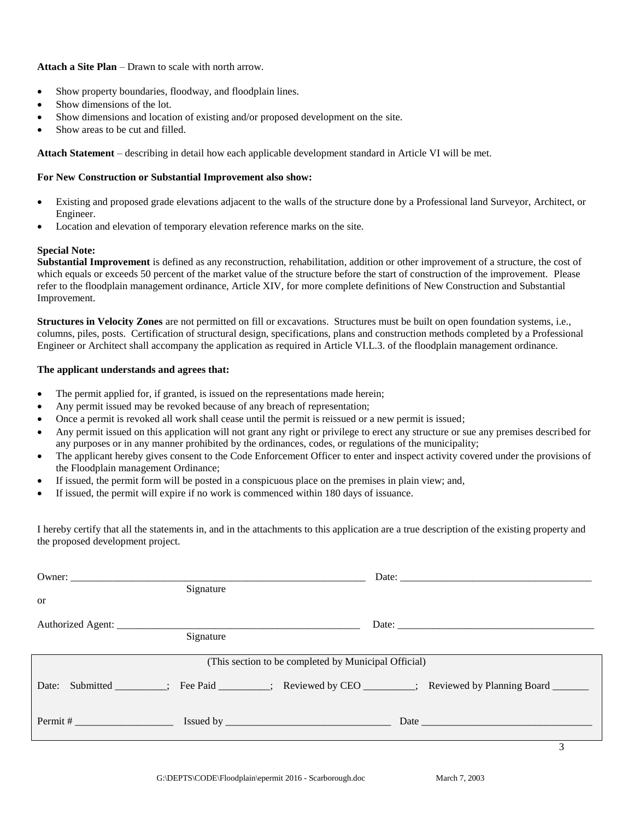#### **Attach a Site Plan** – Drawn to scale with north arrow.

- Show property boundaries, floodway, and floodplain lines.
- Show dimensions of the lot.
- Show dimensions and location of existing and/or proposed development on the site.
- Show areas to be cut and filled.

**Attach Statement** – describing in detail how each applicable development standard in Article VI will be met.

#### **For New Construction or Substantial Improvement also show:**

- Existing and proposed grade elevations adjacent to the walls of the structure done by a Professional land Surveyor, Architect, or Engineer.
- Location and elevation of temporary elevation reference marks on the site.

#### **Special Note:**

**Substantial Improvement** is defined as any reconstruction, rehabilitation, addition or other improvement of a structure, the cost of which equals or exceeds 50 percent of the market value of the structure before the start of construction of the improvement. Please refer to the floodplain management ordinance, Article XIV, for more complete definitions of New Construction and Substantial Improvement.

**Structures in Velocity Zones** are not permitted on fill or excavations. Structures must be built on open foundation systems, i.e., columns, piles, posts. Certification of structural design, specifications, plans and construction methods completed by a Professional Engineer or Architect shall accompany the application as required in Article VI.L.3. of the floodplain management ordinance.

#### **The applicant understands and agrees that:**

- The permit applied for, if granted, is issued on the representations made herein;
- Any permit issued may be revoked because of any breach of representation;
- Once a permit is revoked all work shall cease until the permit is reissued or a new permit is issued;
- Any permit issued on this application will not grant any right or privilege to erect any structure or sue any premises described for any purposes or in any manner prohibited by the ordinances, codes, or regulations of the municipality;
- The applicant hereby gives consent to the Code Enforcement Officer to enter and inspect activity covered under the provisions of the Floodplain management Ordinance;
- If issued, the permit form will be posted in a conspicuous place on the premises in plain view; and,
- If issued, the permit will expire if no work is commenced within 180 days of issuance.

I hereby certify that all the statements in, and in the attachments to this application are a true description of the existing property and the proposed development project.

| Signature                                                                                            |  |
|------------------------------------------------------------------------------------------------------|--|
| <b>or</b>                                                                                            |  |
|                                                                                                      |  |
| Signature                                                                                            |  |
| (This section to be completed by Municipal Official)                                                 |  |
| Date: Submitted _______; Fee Paid _______; Reviewed by CEO ______; Reviewed by Planning Board ______ |  |
|                                                                                                      |  |
|                                                                                                      |  |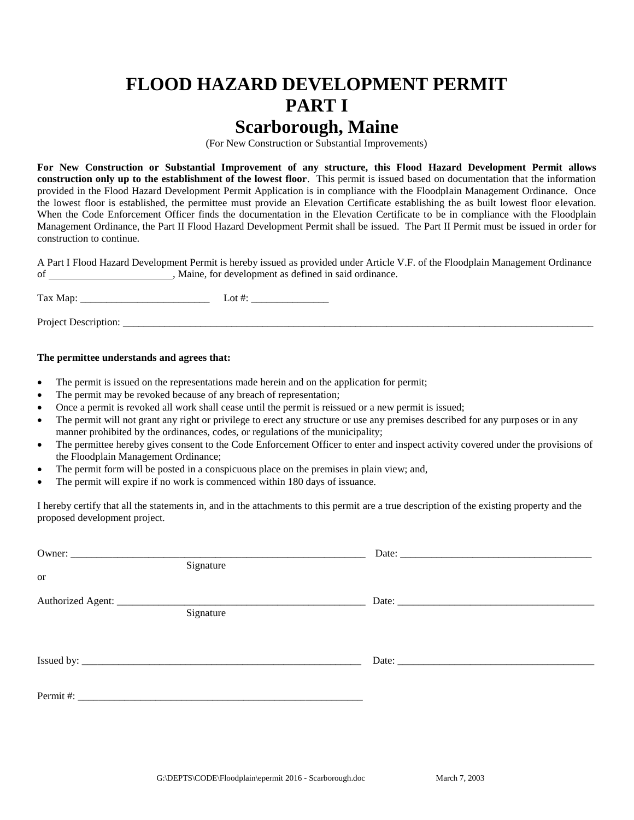## **FLOOD HAZARD DEVELOPMENT PERMIT PART I Scarborough, Maine**

(For New Construction or Substantial Improvements)

**For New Construction or Substantial Improvement of any structure, this Flood Hazard Development Permit allows construction only up to the establishment of the lowest floor**. This permit is issued based on documentation that the information provided in the Flood Hazard Development Permit Application is in compliance with the Floodplain Management Ordinance. Once the lowest floor is established, the permittee must provide an Elevation Certificate establishing the as built lowest floor elevation. When the Code Enforcement Officer finds the documentation in the Elevation Certificate to be in compliance with the Floodplain Management Ordinance, the Part II Flood Hazard Development Permit shall be issued. The Part II Permit must be issued in order for construction to continue.

A Part I Flood Hazard Development Permit is hereby issued as provided under Article V.F. of the Floodplain Management Ordinance of , Maine, for development as defined in said ordinance.

Tax Map: \_\_\_\_\_\_\_\_\_\_\_\_\_\_\_\_\_\_\_\_\_\_\_\_\_ Lot #: \_\_\_\_\_\_\_\_\_\_\_\_\_\_\_

Project Description:

#### **The permittee understands and agrees that:**

- The permit is issued on the representations made herein and on the application for permit;
- The permit may be revoked because of any breach of representation;
- Once a permit is revoked all work shall cease until the permit is reissued or a new permit is issued;
- The permit will not grant any right or privilege to erect any structure or use any premises described for any purposes or in any manner prohibited by the ordinances, codes, or regulations of the municipality;
- The permittee hereby gives consent to the Code Enforcement Officer to enter and inspect activity covered under the provisions of the Floodplain Management Ordinance;
- The permit form will be posted in a conspicuous place on the premises in plain view; and,
- The permit will expire if no work is commenced within 180 days of issuance.

I hereby certify that all the statements in, and in the attachments to this permit are a true description of the existing property and the proposed development project.

|           | Signature |       |  |
|-----------|-----------|-------|--|
| <b>or</b> |           |       |  |
|           |           |       |  |
|           | Signature |       |  |
|           |           |       |  |
|           |           |       |  |
|           |           | Date: |  |
|           |           |       |  |
|           |           |       |  |
|           |           |       |  |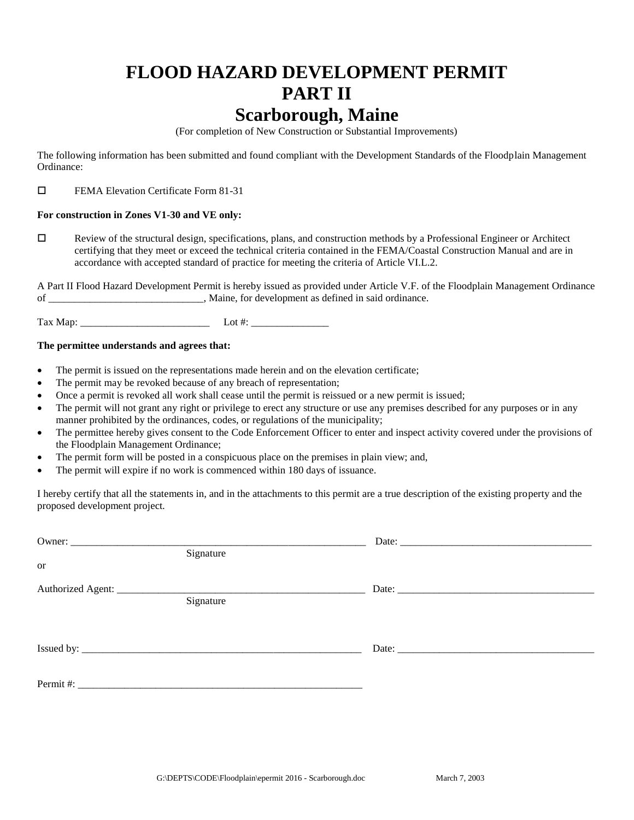## **FLOOD HAZARD DEVELOPMENT PERMIT PART II Scarborough, Maine**

(For completion of New Construction or Substantial Improvements)

The following information has been submitted and found compliant with the Development Standards of the Floodplain Management Ordinance:

FEMA Elevation Certificate Form 81-31

#### **For construction in Zones V1-30 and VE only:**

 Review of the structural design, specifications, plans, and construction methods by a Professional Engineer or Architect certifying that they meet or exceed the technical criteria contained in the FEMA/Coastal Construction Manual and are in accordance with accepted standard of practice for meeting the criteria of Article VI.L.2.

A Part II Flood Hazard Development Permit is hereby issued as provided under Article V.F. of the Floodplain Management Ordinance of \_\_\_\_\_\_\_\_\_\_\_\_\_\_\_\_\_\_\_\_\_\_\_\_\_\_\_\_\_\_, Maine, for development as defined in said ordinance.

Tax Map:  $\qquad \qquad$  Lot #:

#### **The permittee understands and agrees that:**

- The permit is issued on the representations made herein and on the elevation certificate;
- The permit may be revoked because of any breach of representation;
- Once a permit is revoked all work shall cease until the permit is reissued or a new permit is issued;
- The permit will not grant any right or privilege to erect any structure or use any premises described for any purposes or in any manner prohibited by the ordinances, codes, or regulations of the municipality;
- The permittee hereby gives consent to the Code Enforcement Officer to enter and inspect activity covered under the provisions of the Floodplain Management Ordinance;
- The permit form will be posted in a conspicuous place on the premises in plain view; and,
- The permit will expire if no work is commenced within 180 days of issuance.

I hereby certify that all the statements in, and in the attachments to this permit are a true description of the existing property and the proposed development project.

|                                | Signature                                                                       |       |
|--------------------------------|---------------------------------------------------------------------------------|-------|
| <b>or</b>                      |                                                                                 |       |
| Authorized Agent: ____________ | the contract of the contract of the contract of the contract of the contract of | Date: |
|                                | Signature                                                                       |       |
|                                |                                                                                 |       |
|                                |                                                                                 |       |
|                                |                                                                                 |       |
|                                |                                                                                 |       |
| Permit #:                      |                                                                                 |       |
|                                |                                                                                 |       |